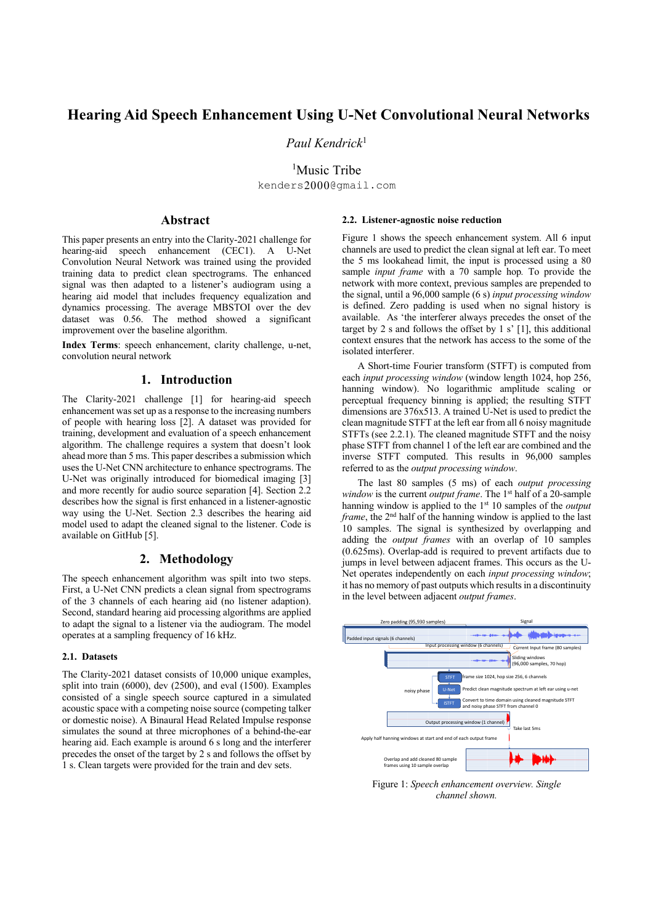# **Hearing Aid Speech Enhancement Using U-Net Convolutional Neural Networks**

*Paul Kendrick*<sup>1</sup>

<sup>1</sup>Music Tribe kenders2000@gmail.com

# **Abstract**

This paper presents an entry into the Clarity-2021 challenge for hearing-aid speech enhancement (CEC1). A U-Net Convolution Neural Network was trained using the provided training data to predict clean spectrograms. The enhanced signal was then adapted to a listener's audiogram using a hearing aid model that includes frequency equalization and dynamics processing. The average MBSTOI over the dev dataset was 0.56. The method showed a significant improvement over the baseline algorithm.

**Index Terms**: speech enhancement, clarity challenge, u-net, convolution neural network

# **1. Introduction**

The Clarity-2021 challenge [1] for hearing-aid speech enhancement was set up as a response to the increasing numbers of people with hearing loss [2]. A dataset was provided for training, development and evaluation of a speech enhancement algorithm. The challenge requires a system that doesn't look ahead more than 5 ms. This paper describes a submission which uses the U-Net CNN architecture to enhance spectrograms. The U-Net was originally introduced for biomedical imaging [3] and more recently for audio source separation [4]. Section 2.2 describes how the signal is first enhanced in a listener-agnostic way using the U-Net. Section 2.3 describes the hearing aid model used to adapt the cleaned signal to the listener. Code is available on GitHub [5].

### **2. Methodology**

The speech enhancement algorithm was spilt into two steps. First, a U-Net CNN predicts a clean signal from spectrograms of the 3 channels of each hearing aid (no listener adaption). Second, standard hearing aid processing algorithms are applied to adapt the signal to a listener via the audiogram. The model operates at a sampling frequency of 16 kHz.

### **2.1. Datasets**

The Clarity-2021 dataset consists of 10,000 unique examples, split into train (6000), dev (2500), and eval (1500). Examples consisted of a single speech source captured in a simulated acoustic space with a competing noise source (competing talker or domestic noise). A Binaural Head Related Impulse response simulates the sound at three microphones of a behind-the-ear hearing aid. Each example is around 6 s long and the interferer precedes the onset of the target by 2 s and follows the offset by 1 s. Clean targets were provided for the train and dev sets.

### **2.2. Listener-agnostic noise reduction**

Figure 1 shows the speech enhancement system. All 6 input channels are used to predict the clean signal at left ear. To meet the 5 ms lookahead limit, the input is processed using a 80 sample *input frame* with a 70 sample hop*.* To provide the network with more context, previous samples are prepended to the signal, until a 96,000 sample (6 s) *input processing window* is defined. Zero padding is used when no signal history is available. As 'the interferer always precedes the onset of the target by 2 s and follows the offset by 1 s' [1], this additional context ensures that the network has access to the some of the isolated interferer.

A Short-time Fourier transform (STFT) is computed from each *input processing window* (window length 1024, hop 256, hanning window). No logarithmic amplitude scaling or perceptual frequency binning is applied; the resulting STFT dimensions are 376x513. A trained U-Net is used to predict the clean magnitude STFT at the left ear from all 6 noisy magnitude STFTs (see 2.2.1). The cleaned magnitude STFT and the noisy phase STFT from channel 1 of the left ear are combined and the inverse STFT computed. This results in 96,000 samples referred to as the *output processing window*.

The last 80 samples (5 ms) of each *output processing window* is the current *output frame*. The 1st half of a 20-sample hanning window is applied to the 1st 10 samples of the *output frame*, the 2<sup>nd</sup> half of the hanning window is applied to the last 10 samples. The signal is synthesized by overlapping and adding the *output frames* with an overlap of 10 samples (0.625ms). Overlap-add is required to prevent artifacts due to jumps in level between adjacent frames. This occurs as the U-Net operates independently on each *input processing window*; it has no memory of past outputs which resultsin a discontinuity in the level between adjacent *output frames*.



Figure 1: *Speech enhancement overview. Single channel shown.*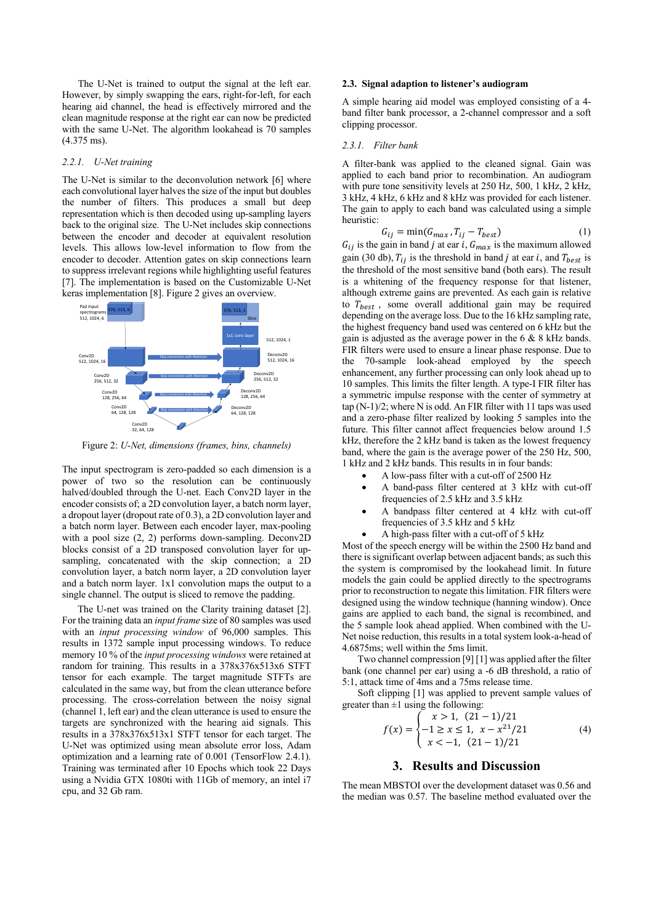The U-Net is trained to output the signal at the left ear. However, by simply swapping the ears, right-for-left, for each hearing aid channel, the head is effectively mirrored and the clean magnitude response at the right ear can now be predicted with the same U-Net. The algorithm lookahead is 70 samples (4.375 ms).

#### *2.2.1. U-Net training*

The U-Net is similar to the deconvolution network [6] where each convolutional layer halves the size of the input but doubles the number of filters. This produces a small but deep representation which is then decoded using up-sampling layers back to the original size. The U-Net includes skip connections between the encoder and decoder at equivalent resolution levels. This allows low-level information to flow from the encoder to decoder. Attention gates on skip connections learn to suppress irrelevant regions while highlighting useful features [7]. The implementation is based on the Customizable U-Net keras implementation [8]. Figure 2 gives an overview.



Figure 2: *U-Net, dimensions (frames, bins, channels)*

The input spectrogram is zero-padded so each dimension is a power of two so the resolution can be continuously halved/doubled through the U-net. Each Conv2D layer in the encoder consists of; a 2D convolution layer, a batch norm layer, a dropout layer (dropout rate of 0.3), a 2D convolution layer and a batch norm layer. Between each encoder layer, max-pooling with a pool size (2, 2) performs down-sampling. Deconv2D blocks consist of a 2D transposed convolution layer for upsampling, concatenated with the skip connection; a 2D convolution layer, a batch norm layer, a 2D convolution layer and a batch norm layer. 1x1 convolution maps the output to a single channel. The output is sliced to remove the padding.

The U-net was trained on the Clarity training dataset [2]. For the training data an *input frame* size of 80 samples was used with an *input processing window* of 96,000 samples. This results in 1372 sample input processing windows. To reduce memory 10 % of the *input processing windows* were retained at random for training. This results in a 378x376x513x6 STFT tensor for each example. The target magnitude STFTs are calculated in the same way, but from the clean utterance before processing. The cross-correlation between the noisy signal (channel 1, left ear) and the clean utterance is used to ensure the targets are synchronized with the hearing aid signals. This results in a 378x376x513x1 STFT tensor for each target. The U-Net was optimized using mean absolute error loss, Adam optimization and a learning rate of 0.001 (TensorFlow 2.4.1). Training was terminated after 10 Epochs which took 22 Days using a Nvidia GTX 1080ti with 11Gb of memory, an intel i7 cpu, and 32 Gb ram.

#### **2.3. Signal adaption to listener's audiogram**

A simple hearing aid model was employed consisting of a 4 band filter bank processor, a 2-channel compressor and a soft clipping processor.

### *2.3.1. Filter bank*

A filter-bank was applied to the cleaned signal. Gain was applied to each band prior to recombination. An audiogram with pure tone sensitivity levels at 250 Hz, 500, 1 kHz, 2 kHz, 3 kHz, 4 kHz, 6 kHz and 8 kHz was provided for each listener. The gain to apply to each band was calculated using a simple heuristic:

$$
G_{ij} = \min(G_{max}, T_{ij} - T_{best})
$$
 (1)

 $G_{ij}$  is the gain in band *j* at ear *i*,  $G_{max}$  is the maximum allowed gain (30 db),  $T_{ii}$  is the threshold in band *j* at ear *i*, and  $T_{best}$  is the threshold of the most sensitive band (both ears). The result is a whitening of the frequency response for that listener, although extreme gains are prevented. As each gain is relative to  $T_{best}$ , some overall additional gain may be required depending on the average loss. Due to the 16 kHz sampling rate, the highest frequency band used was centered on 6 kHz but the gain is adjusted as the average power in the 6 & 8 kHz bands. FIR filters were used to ensure a linear phase response. Due to the 70-sample look-ahead employed by the speech enhancement, any further processing can only look ahead up to 10 samples. This limits the filter length. A type-I FIR filter has a symmetric impulse response with the center of symmetry at tap (N-1)/2; where N is odd. An FIR filter with 11 taps was used and a zero-phase filter realized by looking 5 samples into the future. This filter cannot affect frequencies below around 1.5 kHz, therefore the 2 kHz band is taken as the lowest frequency band, where the gain is the average power of the 250 Hz, 500, 1 kHz and 2 kHz bands. This results in in four bands:

- A low-pass filter with a cut-off of 2500 Hz
	- A band-pass filter centered at 3 kHz with cut-off frequencies of 2.5 kHz and 3.5 kHz
- A bandpass filter centered at 4 kHz with cut-off frequencies of 3.5 kHz and 5 kHz
- A high-pass filter with a cut-off of 5 kHz

Most of the speech energy will be within the 2500 Hz band and there is significant overlap between adjacent bands; as such this the system is compromised by the lookahead limit. In future models the gain could be applied directly to the spectrograms prior to reconstruction to negate this limitation. FIR filters were designed using the window technique (hanning window). Once gains are applied to each band, the signal is recombined, and the 5 sample look ahead applied. When combined with the U-Net noise reduction, this results in a total system look-a-head of 4.6875ms; well within the 5ms limit.

Two channel compression [9] [1] was applied after the filter bank (one channel per ear) using a -6 dB threshold, a ratio of 5:1, attack time of 4ms and a 75ms release time.

Soft clipping [1] was applied to prevent sample values of greater than  $\pm 1$  using the following:

$$
f(x) = \begin{cases} x > 1, & (21 - 1)/21 \\ -1 \ge x \le 1, & x - x^{21}/21 \\ x < -1, & (21 - 1)/21 \end{cases}
$$
(4)

# **3. Results and Discussion**

The mean MBSTOI over the development dataset was 0.56 and the median was 0.57. The baseline method evaluated over the